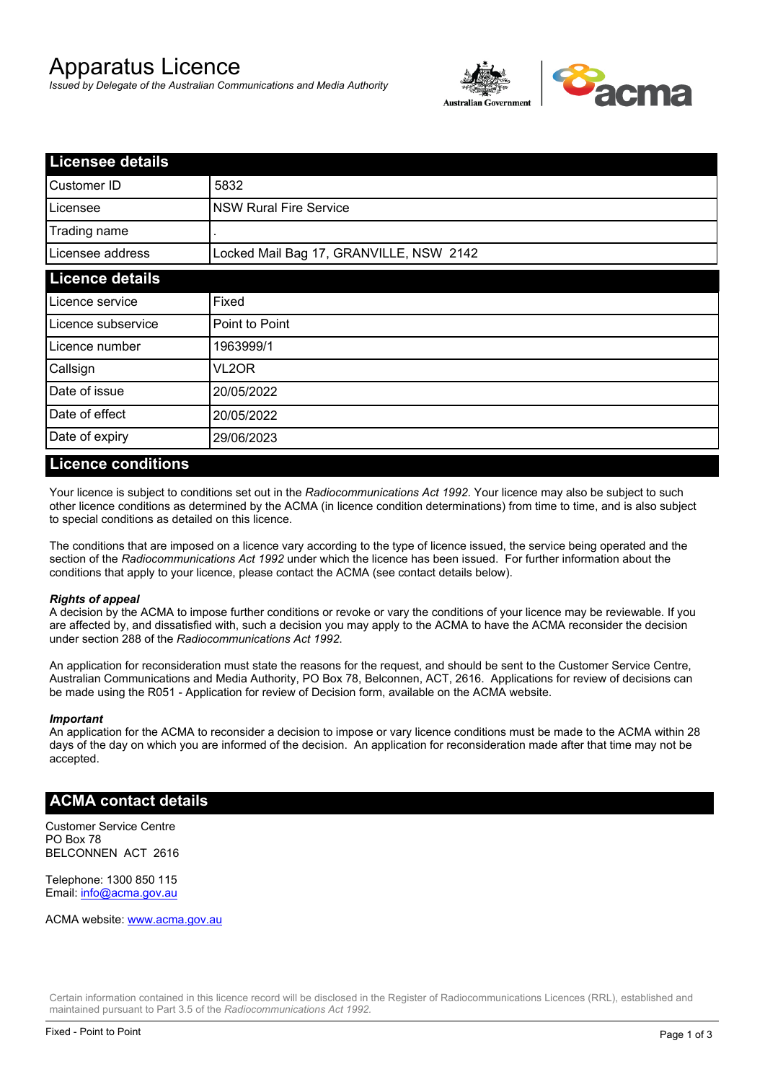# Apparatus Licence

*Issued by Delegate of the Australian Communications and Media Authority*



| <b>Licensee details</b> |                                         |  |
|-------------------------|-----------------------------------------|--|
| Customer ID             | 5832                                    |  |
| Licensee                | <b>NSW Rural Fire Service</b>           |  |
| Trading name            |                                         |  |
| Licensee address        | Locked Mail Bag 17, GRANVILLE, NSW 2142 |  |
| <b>Licence details</b>  |                                         |  |
| Licence service         | Fixed                                   |  |
| Licence subservice      | Point to Point                          |  |
| Licence number          | 1963999/1                               |  |
| Callsign                | VL2OR                                   |  |
| Date of issue           | 20/05/2022                              |  |
| Date of effect          | 20/05/2022                              |  |
| Date of expiry          | 29/06/2023                              |  |

#### **Licence conditions**

Your licence is subject to conditions set out in the *Radiocommunications Act 1992*. Your licence may also be subject to such other licence conditions as determined by the ACMA (in licence condition determinations) from time to time, and is also subject to special conditions as detailed on this licence.

The conditions that are imposed on a licence vary according to the type of licence issued, the service being operated and the section of the *Radiocommunications Act 1992* under which the licence has been issued. For further information about the conditions that apply to your licence, please contact the ACMA (see contact details below).

#### *Rights of appeal*

A decision by the ACMA to impose further conditions or revoke or vary the conditions of your licence may be reviewable. If you are affected by, and dissatisfied with, such a decision you may apply to the ACMA to have the ACMA reconsider the decision under section 288 of the *Radiocommunications Act 1992*.

An application for reconsideration must state the reasons for the request, and should be sent to the Customer Service Centre, Australian Communications and Media Authority, PO Box 78, Belconnen, ACT, 2616. Applications for review of decisions can be made using the R051 - Application for review of Decision form, available on the ACMA website.

#### *Important*

An application for the ACMA to reconsider a decision to impose or vary licence conditions must be made to the ACMA within 28 days of the day on which you are informed of the decision. An application for reconsideration made after that time may not be accepted.

#### **ACMA contact details**

Customer Service Centre PO Box 78 BELCONNEN ACT 2616

Telephone: 1300 850 115 Email: info@acma.gov.au

ACMA website: www.acma.gov.au

Certain information contained in this licence record will be disclosed in the Register of Radiocommunications Licences (RRL), established and maintained pursuant to Part 3.5 of the *Radiocommunications Act 1992.*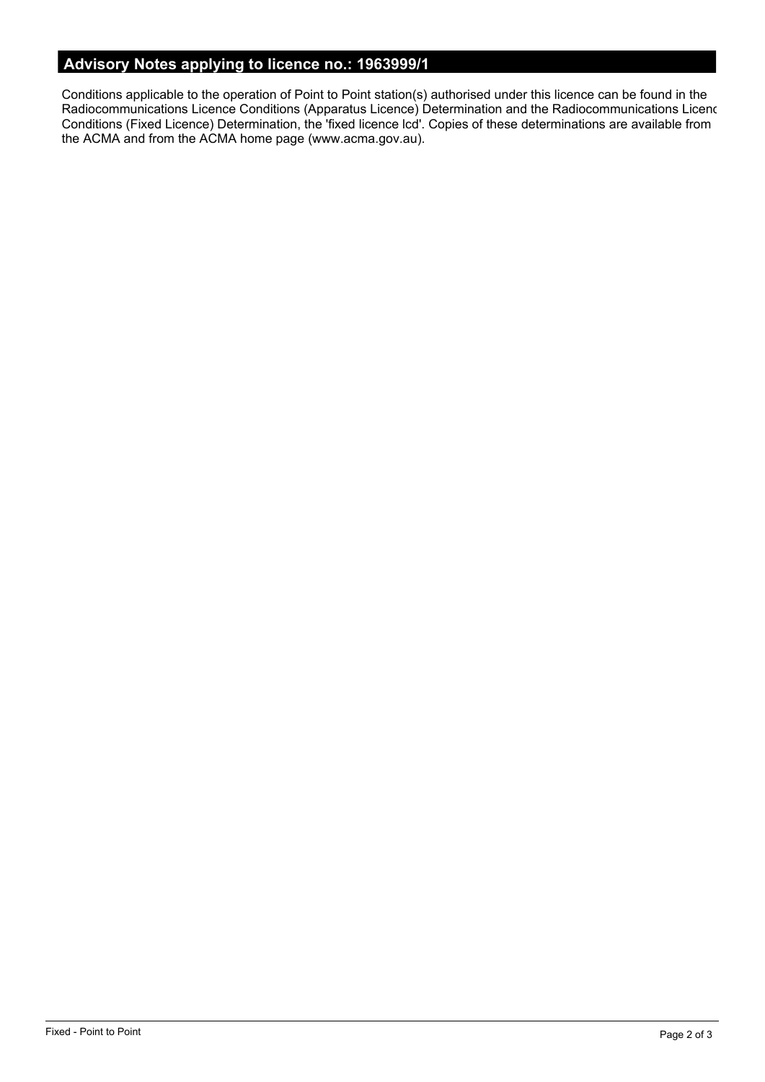# **Advisory Notes applying to licence no.: 1963999/1**

Conditions applicable to the operation of Point to Point station(s) authorised under this licence can be found in the Radiocommunications Licence Conditions (Apparatus Licence) Determination and the Radiocommunications Licence Conditions (Fixed Licence) Determination, the 'fixed licence lcd'. Copies of these determinations are available from the ACMA and from the ACMA home page (www.acma.gov.au).